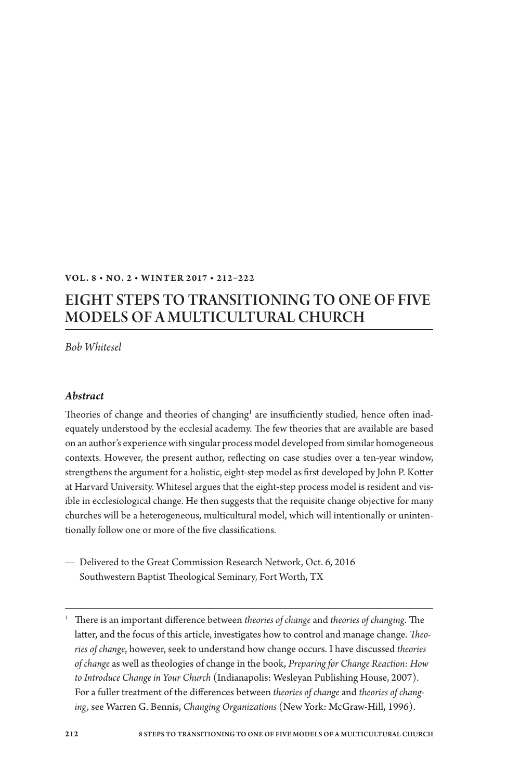#### **Vol . 8 • No. 2 • W I N T ER 2 017 • 212–222**

# Eight Steps to Transitioning to One of Five Models of a Multicultural Church

*Bob Whitesel*

#### *Abstract*

Theories of change and theories of changing<sup>1</sup> are insufficiently studied, hence often inadequately understood by the ecclesial academy. The few theories that are available are based on an author's experience with singular process model developed from similar homogeneous contexts. However, the present author, reflecting on case studies over a ten-year window, strengthens the argument for a holistic, eight-step model as first developed by John P. Kotter at Harvard University. Whitesel argues that the eight-step process model is resident and visible in ecclesiological change. He then suggests that the requisite change objective for many churches will be a heterogeneous, multicultural model, which will intentionally or unintentionally follow one or more of the five classifications.

 $-$  Delivered to the Great Commission Research Network, Oct. 6, 2016 Southwestern Baptist Theological Seminary, Fort Worth, TX

<sup>1</sup> There is an important difference between *theories of change* and *theories of changing*. The latter, and the focus of this article, investigates how to control and manage change. *Theories of change*, however, seek to understand how change occurs. I have discussed *theories of change* as well as theologies of change in the book, *Preparing for Change Reaction: How to Introduce Change in Your Church* (Indianapolis: Wesleyan Publishing House, 2007). For a fuller treatment of the differences between *theories of change* and *theories of changing,* see Warren G. Bennis, *Changing Organizations* (New York: McGraw-Hill, 1996).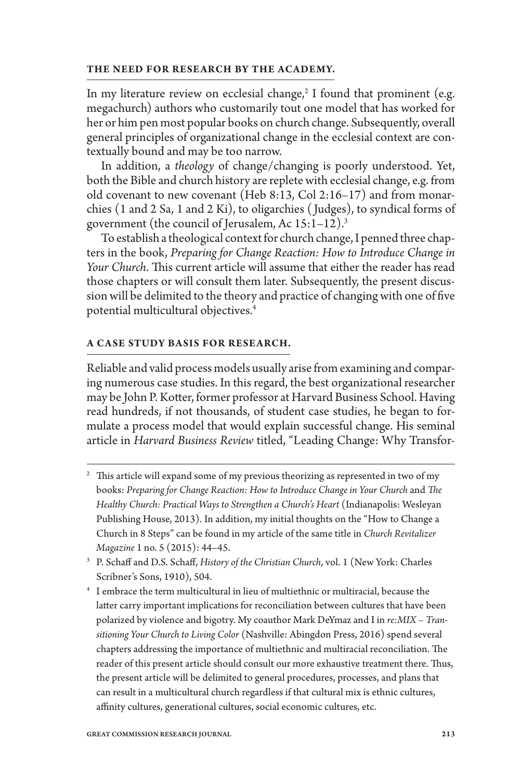#### **The need for research by the academy.**

In my literature review on ecclesial change, $2$  I found that prominent (e.g. megachurch) authors who customarily tout one model that has worked for her or him pen most popular books on church change. Subsequently, overall general principles of organizational change in the ecclesial context are contextually bound and may be too narrow.

In addition, a *theology* of change/changing is poorly understood. Yet, both the Bible and church history are replete with ecclesial change, e.g. from old covenant to new covenant (Heb 8:13, Col 2:16–17) and from monarchies (1 and 2 Sa, 1 and 2 Ki), to oligarchies ( Judges), to syndical forms of government (the council of Jerusalem, Ac 15:1–12).3

To establish a theological context for church change, I penned three chapters in the book, *Preparing for Change Reaction: How to Introduce Change in Your Church*. This current article will assume that either the reader has read those chapters or will consult them later. Subsequently, the present discussion will be delimited to the theory and practice of changing with one of five potential multicultural objectives.4

#### **A case study basis for research.**

Reliable and valid process models usually arise from examining and comparing numerous case studies. In this regard, the best organizational researcher may be John P. Kotter, former professor at Harvard Business School. Having read hundreds, if not thousands, of student case studies, he began to formulate a process model that would explain successful change. His seminal article in *Harvard Business Review* titled, "Leading Change: Why Transfor-

 $2$  This article will expand some of my previous theorizing as represented in two of my books: *Preparing for Change Reaction: How to Introduce Change in Your Church* and *The Healthy Church: Practical Ways to Strengthen a Church's Heart* (Indianapolis: Wesleyan Publishing House, 2013). In addition, my initial thoughts on the "How to Change a Church in 8 Steps" can be found in my article of the same title in *Church Revitalizer Magazine* 1 no. 5 (2015): 44–45.

<sup>4</sup> I embrace the term multicultural in lieu of multiethnic or multiracial, because the latter carry important implications for reconciliation between cultures that have been polarized by violence and bigotry. My coauthor Mark DeYmaz and I in *re:MIX – Transitioning Your Church to Living Color* (Nashville: Abingdon Press, 2016) spend several chapters addressing the importance of multiethnic and multiracial reconciliation. The reader of this present article should consult our more exhaustive treatment there. Thus, the present article will be delimited to general procedures, processes, and plans that can result in a multicultural church regardless if that cultural mix is ethnic cultures, affinity cultures, generational cultures, social economic cultures, etc.

<sup>3</sup> P. Schaff and D.S. Schaff, *History of the Christian Church*, vol. 1 (New York: Charles Scribner's Sons, 1910), 504.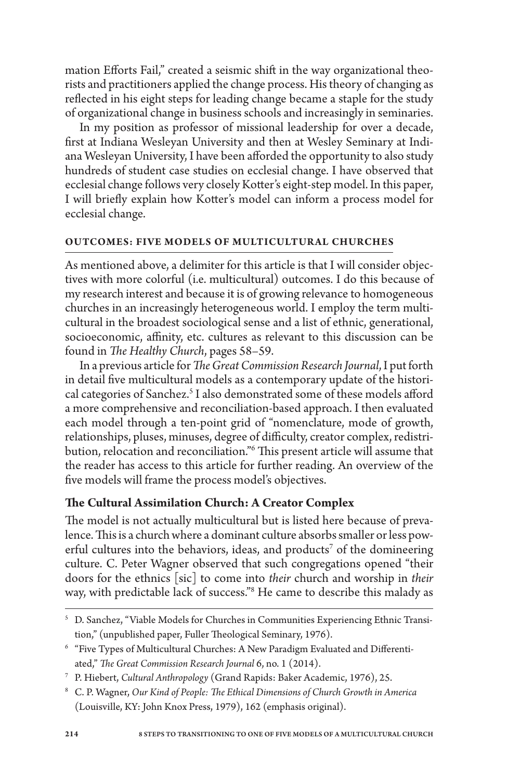mation Efforts Fail," created a seismic shift in the way organizational theorists and practitioners applied the change process. His theory of changing as reflected in his eight steps for leading change became a staple for the study of organizational change in business schools and increasingly in seminaries.

In my position as professor of missional leadership for over a decade, first at Indiana Wesleyan University and then at Wesley Seminary at Indiana Wesleyan University, I have been afforded the opportunity to also study hundreds of student case studies on ecclesial change. I have observed that ecclesial change follows very closely Kotter's eight-step model. In this paper, I will briefly explain how Kotter's model can inform a process model for ecclesial change.

#### **Outcomes: Five Models of Multicultural Churches**

As mentioned above, a delimiter for this article is that I will consider objectives with more colorful (i.e. multicultural) outcomes. I do this because of my research interest and because it is of growing relevance to homogeneous churches in an increasingly heterogeneous world. I employ the term multicultural in the broadest sociological sense and a list of ethnic, generational, socioeconomic, affinity, etc. cultures as relevant to this discussion can be found in *The Healthy Church*, pages 58–59.

In a previous article for *TheGreat Commission Research Journal*, I put forth in detail five multicultural models as a contemporary update of the historical categories of Sanchez.<sup>5</sup> I also demonstrated some of these models afford a more comprehensive and reconciliation-based approach. I then evaluated each model through a ten-point grid of "nomenclature, mode of growth, relationships, pluses, minuses, degree of difficulty, creator complex, redistribution, relocation and reconciliation."6 This present article will assume that the reader has access to this article for further reading. An overview of the five models will frame the process model's objectives.

### **The Cultural Assimilation Church: A Creator Complex**

The model is not actually multicultural but is listed here because of prevalence. This is a church where a dominant culture absorbs smaller or less powerful cultures into the behaviors, ideas, and products<sup>7</sup> of the domineering culture. C. Peter Wagner observed that such congregations opened "their doors for the ethnics [sic] to come into *their* church and worship in *their* way, with predictable lack of success."8 He came to describe this malady as

<sup>8</sup> C. P. Wagner, *Our Kind of People: The Ethical Dimensions of Church Growth in America* (Louisville, KY: John Knox Press, 1979), 162 (emphasis original).

<sup>5</sup> D. Sanchez, "Viable Models for Churches in Communities Experiencing Ethnic Transition," (unpublished paper, Fuller Theological Seminary, 1976).

<sup>6</sup> "Five Types of Multicultural Churches: A New Paradigm Evaluated and Differentiated," *The Great Commission Research Journal* 6, no. 1 (2014).

<sup>7</sup> P. Hiebert, *Cultural Anthropology* (Grand Rapids: Baker Academic, 1976), 25.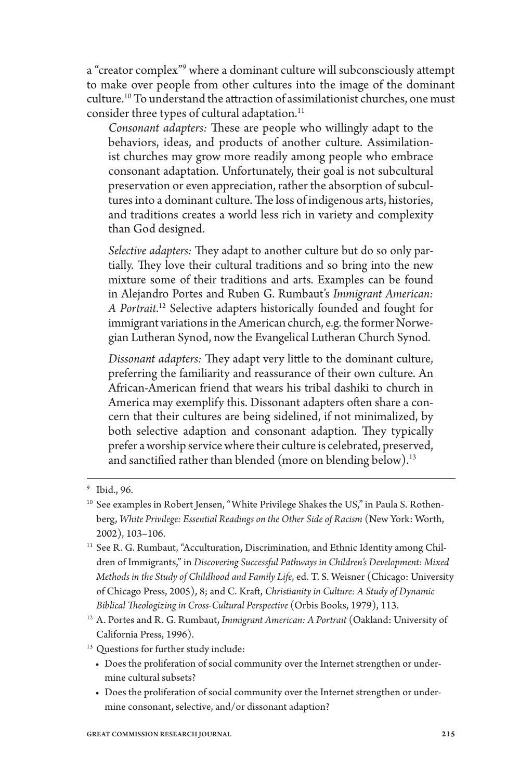a "creator complex"<sup>9</sup> where a dominant culture will subconsciously attempt to make over people from other cultures into the image of the dominant culture.10 To understand the attraction of assimilationist churches, one must consider three types of cultural adaptation.<sup>11</sup>

*Consonant adapters:* These are people who willingly adapt to the behaviors, ideas, and products of another culture. Assimilationist churches may grow more readily among people who embrace consonant adaptation. Unfortunately, their goal is not subcultural preservation or even appreciation, rather the absorption of subcultures into a dominant culture. The loss of indigenous arts, histories, and traditions creates a world less rich in variety and complexity than God designed.

*Selective adapters:* They adapt to another culture but do so only partially. They love their cultural traditions and so bring into the new mixture some of their traditions and arts. Examples can be found in Alejandro Portes and Ruben G. Rumbaut's *Immigrant American: A Portrait*. 12 Selective adapters historically founded and fought for immigrant variations in the American church, e.g. the former Norwegian Lutheran Synod, now the Evangelical Lutheran Church Synod.

*Dissonant adapters:* They adapt very little to the dominant culture, preferring the familiarity and reassurance of their own culture. An African-American friend that wears his tribal dashiki to church in America may exemplify this. Dissonant adapters often share a concern that their cultures are being sidelined, if not minimalized, by both selective adaption and consonant adaption. They typically prefer a worship service where their culture is celebrated, preserved, and sanctified rather than blended (more on blending below).<sup>13</sup>

- <sup>11</sup> See R. G. Rumbaut, "Acculturation, Discrimination, and Ethnic Identity among Children of Immigrants," in *Discovering Successful Pathways in Children's Development: Mixed Methods in the Study of Childhood and Family Life*, ed. T. S. Weisner (Chicago: University of Chicago Press, 2005), 8; and C. Kraft, *Christianity in Culture: A Study of Dynamic Biblical Theologizing in Cross-Cultural Perspective* (Orbis Books, 1979), 113.
- <sup>12</sup> A. Portes and R. G. Rumbaut, *Immigrant American: A Portrait* (Oakland: University of California Press, 1996).
- <sup>13</sup> Questions for further study include:
	- Does the proliferation of social community over the Internet strengthen or undermine cultural subsets?
	- • Does the proliferation of social community over the Internet strengthen or undermine consonant, selective, and/or dissonant adaption?

<sup>9</sup> Ibid., 96.

<sup>&</sup>lt;sup>10</sup> See examples in Robert Jensen, "White Privilege Shakes the US," in Paula S. Rothenberg, *White Privilege: Essential Readings on the Other Side of Racism* (New York: Worth, 2002), 103–106.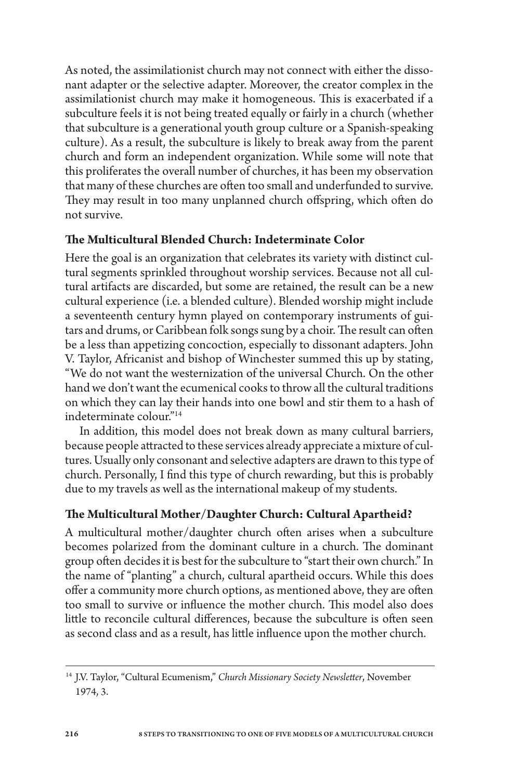As noted, the assimilationist church may not connect with either the dissonant adapter or the selective adapter. Moreover, the creator complex in the assimilationist church may make it homogeneous. This is exacerbated if a subculture feels it is not being treated equally or fairly in a church (whether that subculture is a generational youth group culture or a Spanish-speaking culture). As a result, the subculture is likely to break away from the parent church and form an independent organization. While some will note that this proliferates the overall number of churches, it has been my observation that many of these churches are often too small and underfunded to survive. They may result in too many unplanned church offspring, which often do not survive.

### **The Multicultural Blended Church: Indeterminate Color**

Here the goal is an organization that celebrates its variety with distinct cultural segments sprinkled throughout worship services. Because not all cultural artifacts are discarded, but some are retained, the result can be a new cultural experience (i.e. a blended culture). Blended worship might include a seventeenth century hymn played on contemporary instruments of guitars and drums, or Caribbean folk songs sung by a choir. The result can often be a less than appetizing concoction, especially to dissonant adapters. John V. Taylor, Africanist and bishop of Winchester summed this up by stating, "We do not want the westernization of the universal Church. On the other hand we don't want the ecumenical cooks to throw all the cultural traditions on which they can lay their hands into one bowl and stir them to a hash of indeterminate colour."14

In addition, this model does not break down as many cultural barriers, because people attracted to these services already appreciate a mixture of cultures. Usually only consonant and selective adapters are drawn to this type of church. Personally, I find this type of church rewarding, but this is probably due to my travels as well as the international makeup of my students.

### **The Multicultural Mother/Daughter Church: Cultural Apartheid?**

A multicultural mother/daughter church often arises when a subculture becomes polarized from the dominant culture in a church. The dominant group often decides it is best for the subculture to "start their own church." In the name of "planting" a church, cultural apartheid occurs. While this does offer a community more church options, as mentioned above, they are often too small to survive or influence the mother church. This model also does little to reconcile cultural differences, because the subculture is often seen as second class and as a result, has little influence upon the mother church.

<sup>14</sup> J.V. Taylor, "Cultural Ecumenism," *Church Missionary Society Newsletter*, November 1974, 3.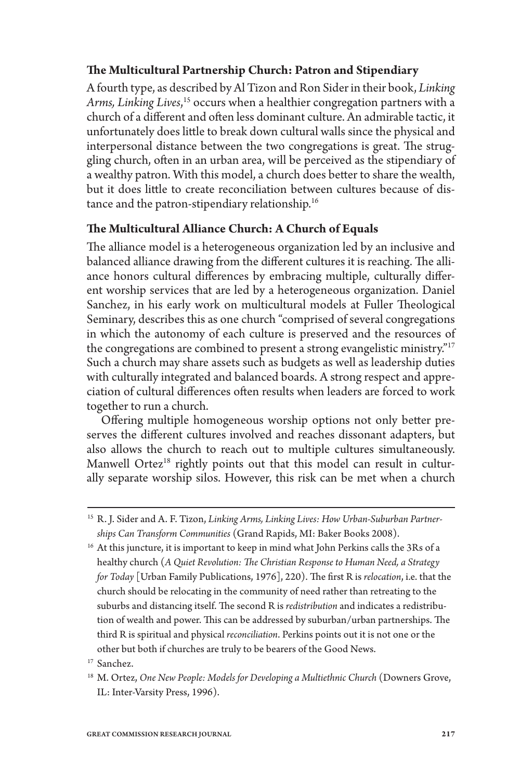### **The Multicultural Partnership Church: Patron and Stipendiary**

A fourth type, as described by Al Tizon and Ron Sider in their book, *Linking Arms, Linking Lives*, <sup>15</sup> occurs when a healthier congregation partners with a church of a different and often less dominant culture. An admirable tactic, it unfortunately does little to break down cultural walls since the physical and interpersonal distance between the two congregations is great. The struggling church, often in an urban area, will be perceived as the stipendiary of a wealthy patron. With this model, a church does better to share the wealth, but it does little to create reconciliation between cultures because of distance and the patron-stipendiary relationship.<sup>16</sup>

### **The Multicultural Alliance Church: A Church of Equals**

The alliance model is a heterogeneous organization led by an inclusive and balanced alliance drawing from the different cultures it is reaching. The alliance honors cultural differences by embracing multiple, culturally different worship services that are led by a heterogeneous organization. Daniel Sanchez, in his early work on multicultural models at Fuller Theological Seminary, describes this as one church "comprised of several congregations in which the autonomy of each culture is preserved and the resources of the congregations are combined to present a strong evangelistic ministry."<sup>17</sup> Such a church may share assets such as budgets as well as leadership duties with culturally integrated and balanced boards. A strong respect and appreciation of cultural differences often results when leaders are forced to work together to run a church.

Offering multiple homogeneous worship options not only better preserves the different cultures involved and reaches dissonant adapters, but also allows the church to reach out to multiple cultures simultaneously. Manwell Ortez<sup>18</sup> rightly points out that this model can result in culturally separate worship silos. However, this risk can be met when a church

<sup>15</sup> R. J. Sider and A. F. Tizon, *Linking Arms, Linking Lives: How Urban-Suburban Partnerships Can Transform Communities* (Grand Rapids, MI: Baker Books 2008).

 $^{16}$  At this juncture, it is important to keep in mind what John Perkins calls the 3Rs of a healthy church (*A Quiet Revolution: The Christian Response to Human Need, a Strategy for Today* [Urban Family Publications, 1976], 220). The first R is *relocation*, i.e. that the church should be relocating in the community of need rather than retreating to the suburbs and distancing itself. The second R is *redistribution* and indicates a redistribution of wealth and power. This can be addressed by suburban/urban partnerships. The third R is spiritual and physical *reconciliation*. Perkins points out it is not one or the other but both if churches are truly to be bearers of the Good News.

<sup>17</sup> Sanchez.

<sup>18</sup> M. Ortez, *One New People: Models for Developing a Multiethnic Church* (Downers Grove, IL: Inter-Varsity Press, 1996).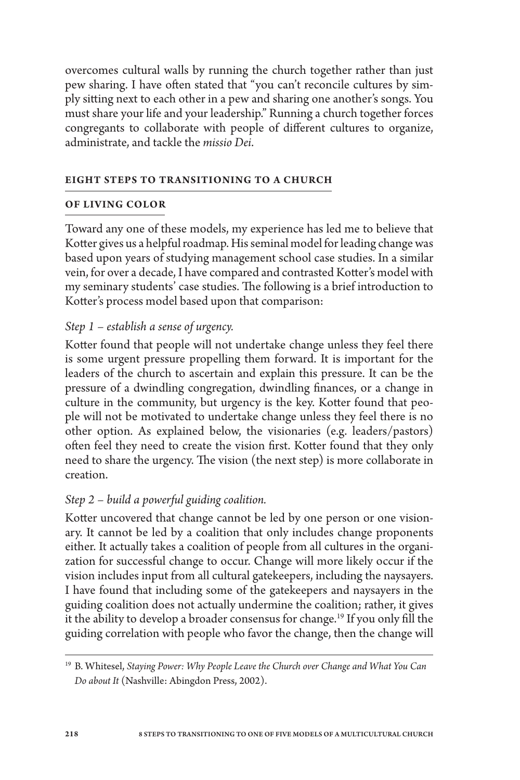overcomes cultural walls by running the church together rather than just pew sharing. I have often stated that "you can't reconcile cultures by simply sitting next to each other in a pew and sharing one another's songs. You must share your life and your leadership." Running a church together forces congregants to collaborate with people of different cultures to organize, administrate, and tackle the *missio Dei*.

#### **Eight Steps to Transitioning to a Church**

#### **of Living Color**

Toward any one of these models, my experience has led me to believe that Kotter gives us a helpful roadmap. His seminal model for leading change was based upon years of studying management school case studies. In a similar vein, for over a decade, I have compared and contrasted Kotter's model with my seminary students' case studies. The following is a brief introduction to Kotter's process model based upon that comparison:

### *Step 1 – establish a sense of urgency.*

Kotter found that people will not undertake change unless they feel there is some urgent pressure propelling them forward. It is important for the leaders of the church to ascertain and explain this pressure. It can be the pressure of a dwindling congregation, dwindling finances, or a change in culture in the community, but urgency is the key. Kotter found that people will not be motivated to undertake change unless they feel there is no other option. As explained below, the visionaries (e.g. leaders/pastors) often feel they need to create the vision first. Kotter found that they only need to share the urgency. The vision (the next step) is more collaborate in creation.

### *Step 2 – build a powerful guiding coalition.*

Kotter uncovered that change cannot be led by one person or one visionary. It cannot be led by a coalition that only includes change proponents either. It actually takes a coalition of people from all cultures in the organization for successful change to occur. Change will more likely occur if the vision includes input from all cultural gatekeepers, including the naysayers. I have found that including some of the gatekeepers and naysayers in the guiding coalition does not actually undermine the coalition; rather, it gives it the ability to develop a broader consensus for change.<sup>19</sup> If you only fill the guiding correlation with people who favor the change, then the change will

<sup>19</sup> B. Whitesel, *Staying Power: Why People Leave the Church over Change and What You Can Do about It* (Nashville: Abingdon Press, 2002).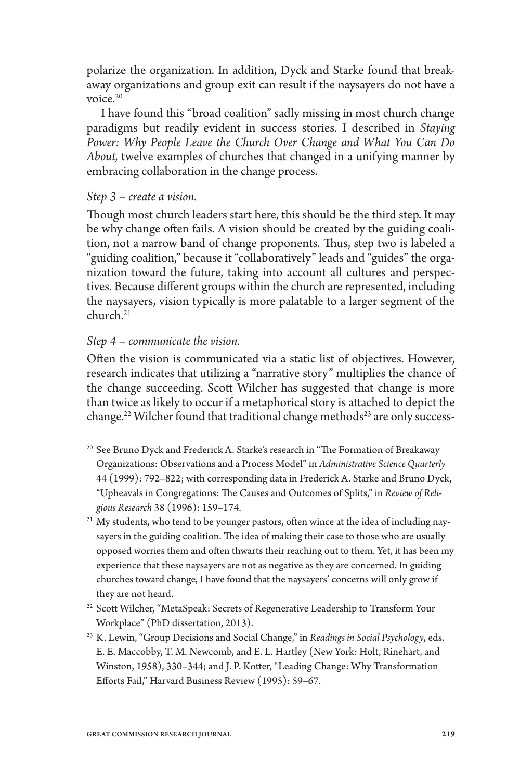polarize the organization. In addition, Dyck and Starke found that breakaway organizations and group exit can result if the naysayers do not have a voice.20

I have found this "broad coalition" sadly missing in most church change paradigms but readily evident in success stories. I described in *Staying Power: Why People Leave the Church Over Change and What You Can Do About,* twelve examples of churches that changed in a unifying manner by embracing collaboration in the change process.

### *Step 3 – create a vision.*

Though most church leaders start here, this should be the third step. It may be why change often fails. A vision should be created by the guiding coalition, not a narrow band of change proponents. Thus, step two is labeled a "guiding coalition," because it "collaboratively" leads and "guides" the organization toward the future, taking into account all cultures and perspectives. Because different groups within the church are represented, including the naysayers, vision typically is more palatable to a larger segment of the  $church<sup>21</sup>$ 

### *Step 4 – communicate the vision.*

Often the vision is communicated via a static list of objectives. However, research indicates that utilizing a "narrative story" multiplies the chance of the change succeeding. Scott Wilcher has suggested that change is more than twice as likely to occur if a metaphorical story is attached to depict the change.<sup>22</sup> Wilcher found that traditional change methods<sup>23</sup> are only success-

- <sup>20</sup> See Bruno Dyck and Frederick A. Starke's research in "The Formation of Breakaway Organizations: Observations and a Process Model" in *Administrative Science Quarterly* 44 (1999): 792–822; with corresponding data in Frederick A. Starke and Bruno Dyck, "Upheavals in Congregations: The Causes and Outcomes of Splits," in *Review of Religious Research* 38 (1996): 159–174.
- <sup>21</sup> My students, who tend to be younger pastors, often wince at the idea of including naysayers in the guiding coalition. The idea of making their case to those who are usually opposed worries them and often thwarts their reaching out to them. Yet, it has been my experience that these naysayers are not as negative as they are concerned. In guiding churches toward change, I have found that the naysayers' concerns will only grow if they are not heard.
- <sup>22</sup> Scott Wilcher, "MetaSpeak: Secrets of Regenerative Leadership to Transform Your Workplace" (PhD dissertation, 2013).
- <sup>23</sup> K. Lewin, "Group Decisions and Social Change," in *Readings in Social Psychology*, eds. E. E. Maccobby, T. M. Newcomb, and E. L. Hartley (New York: Holt, Rinehart, and Winston, 1958), 330–344; and J. P. Kotter, "Leading Change: Why Transformation Efforts Fail," Harvard Business Review (1995): 59–67.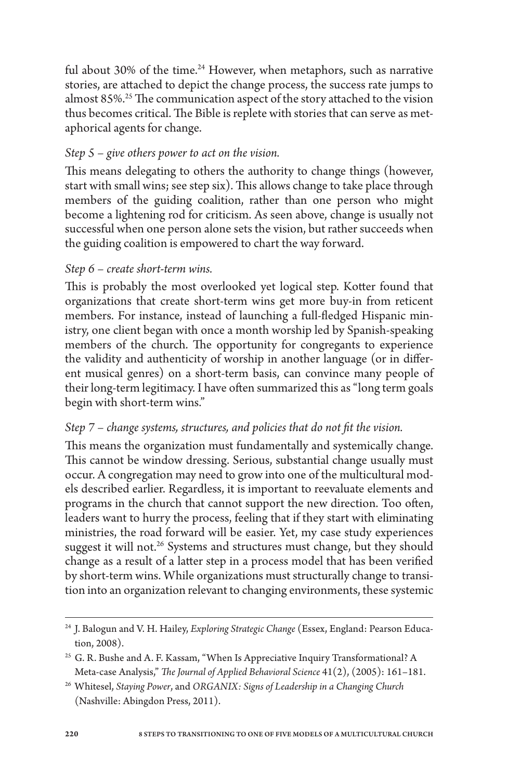ful about 30% of the time.<sup>24</sup> However, when metaphors, such as narrative stories, are attached to depict the change process, the success rate jumps to almost 85%.25 The communication aspect of the story attached to the vision thus becomes critical. The Bible is replete with stories that can serve as metaphorical agents for change.

## *Step 5 – give others power to act on the vision.*

This means delegating to others the authority to change things (however, start with small wins; see step six). This allows change to take place through members of the guiding coalition, rather than one person who might become a lightening rod for criticism. As seen above, change is usually not successful when one person alone sets the vision, but rather succeeds when the guiding coalition is empowered to chart the way forward.

### *Step 6 – create short-term wins.*

This is probably the most overlooked yet logical step. Kotter found that organizations that create short-term wins get more buy-in from reticent members. For instance, instead of launching a full-fledged Hispanic ministry, one client began with once a month worship led by Spanish-speaking members of the church. The opportunity for congregants to experience the validity and authenticity of worship in another language (or in different musical genres) on a short-term basis, can convince many people of their long-term legitimacy. I have often summarized this as "long term goals begin with short-term wins."

## *Step 7 – change systems, structures, and policies that do not fit the vision.*

This means the organization must fundamentally and systemically change. This cannot be window dressing. Serious, substantial change usually must occur. A congregation may need to grow into one of the multicultural models described earlier. Regardless, it is important to reevaluate elements and programs in the church that cannot support the new direction. Too often, leaders want to hurry the process, feeling that if they start with eliminating ministries, the road forward will be easier. Yet, my case study experiences suggest it will not.<sup>26</sup> Systems and structures must change, but they should change as a result of a latter step in a process model that has been verified by short-term wins. While organizations must structurally change to transition into an organization relevant to changing environments, these systemic

<sup>24</sup> J. Balogun and V. H. Hailey, *Exploring Strategic Change* (Essex, England: Pearson Education, 2008).

<sup>&</sup>lt;sup>25</sup> G. R. Bushe and A. F. Kassam, "When Is Appreciative Inquiry Transformational? A Meta-case Analysis," *The Journal of Applied Behavioral Science* 41(2), (2005): 161–181.

<sup>26</sup> Whitesel, *Staying Power*, and *ORGANIX: Signs of Leadership in a Changing Church*  (Nashville: Abingdon Press, 2011).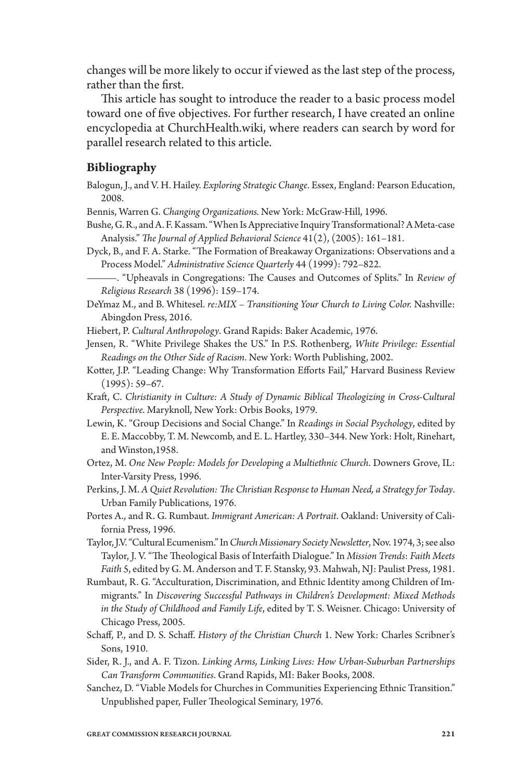changes will be more likely to occur if viewed as the last step of the process, rather than the first.

This article has sought to introduce the reader to a basic process model toward one of five objectives. For further research, I have created an online encyclopedia at ChurchHealth.wiki, where readers can search by word for parallel research related to this article.

#### **Bibliography**

Balogun, J., and V. H. Hailey. *Exploring Strategic Change*. Essex, England: Pearson Education, 2008.

Bennis, Warren G. *Changing Organizations.* New York: McGraw-Hill, 1996.

- Bushe, G. R., and A. F. Kassam. "When Is Appreciative Inquiry Transformational? A Meta-case Analysis." *The Journal of Applied Behavioral Science* 41(2), (2005): 161–181.
- Dyck, B., and F. A. Starke. "The Formation of Breakaway Organizations: Observations and a Process Model." *Administrative Science Quarterly* 44 (1999): 792–822.
	- ———. "Upheavals in Congregations: The Causes and Outcomes of Splits." In *Review of Religious Research* 38 (1996): 159–174.
- DeYmaz M., and B. Whitesel. re:MIX Transitioning Your Church to Living Color. Nashville: Abingdon Press, 2016.

Hiebert, P. *Cultural Anthropology*. Grand Rapids: Baker Academic, 1976.

- Jensen, R. "White Privilege Shakes the US." In P.S. Rothenberg, *White Privilege: Essential Readings on the Other Side of Racism*. New York: Worth Publishing, 2002.
- Kotter, J.P. "Leading Change: Why Transformation Efforts Fail," Harvard Business Review (1995): 59–67.
- Kraft, C. *Christianity in Culture: A Study of Dynamic Biblical Theologizing in Cross-Cultural Perspective*. Maryknoll, New York: Orbis Books, 1979.
- Lewin, K. "Group Decisions and Social Change." In *Readings in Social Psychology*, edited by E. E. Maccobby, T. M. Newcomb, and E. L. Hartley, 330–344. New York: Holt, Rinehart, and Winston,1958.
- Ortez, M. *One New People: Models for Developing a Multiethnic Church*. Downers Grove, IL: Inter-Varsity Press, 1996.
- Perkins, J. M. *A Quiet Revolution: The Christian Response to Human Need, a Strategy for Today*. Urban Family Publications, 1976.
- Portes A., and R. G. Rumbaut. *Immigrant American: A Portrait*. Oakland: University of California Press, 1996.
- Taylor, J.V. "Cultural Ecumenism." In *Church Missionary Society Newsletter*, Nov. 1974, 3; see also Taylor, J. V. "The Theological Basis of Interfaith Dialogue." In *Mission Trends*: *Faith Meets Faith* 5, edited by G. M. Anderson and T. F. Stansky, 93. Mahwah, NJ: Paulist Press, 1981.
- Rumbaut, R. G. "Acculturation, Discrimination, and Ethnic Identity among Children of Immigrants." In *Discovering Successful Pathways in Children's Development: Mixed Methods in the Study of Childhood and Family Life*, edited by T. S. Weisner. Chicago: University of Chicago Press, 2005.
- Schaff, P., and D. S. Schaff. *History of the Christian Church* 1. New York: Charles Scribner's Sons, 1910.
- Sider, R. J., and A. F. Tizon. *Linking Arms, Linking Lives: How Urban-Suburban Partnerships Can Transform Communities*. Grand Rapids, MI: Baker Books, 2008.
- Sanchez, D. "Viable Models for Churches in Communities Experiencing Ethnic Transition." Unpublished paper, Fuller Theological Seminary, 1976.